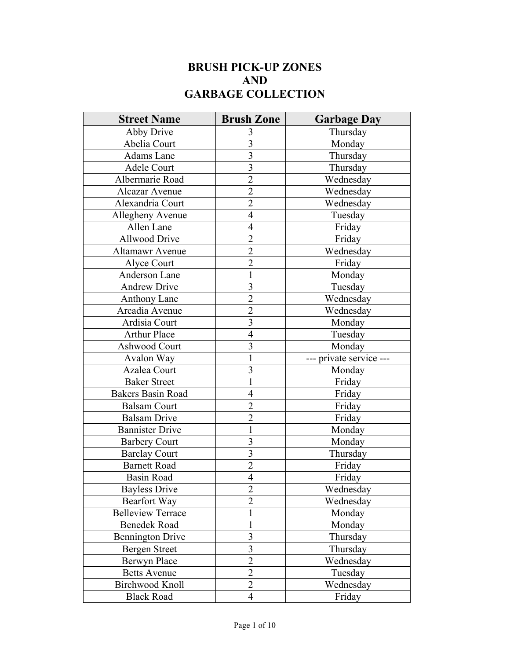## **BRUSH PICK-UP ZONES AND GARBAGE COLLECTION**

| <b>Street Name</b>       | <b>Brush Zone</b>       | <b>Garbage Day</b>      |
|--------------------------|-------------------------|-------------------------|
| Abby Drive               | 3                       | Thursday                |
| Abelia Court             | $\overline{3}$          | Monday                  |
| Adams Lane               | $\overline{3}$          | Thursday                |
| Adele Court              | $\overline{3}$          | Thursday                |
| Albermarie Road          | $\overline{2}$          | Wednesday               |
| Alcazar Avenue           | $\overline{2}$          | Wednesday               |
| Alexandria Court         | $\overline{2}$          | Wednesday               |
| Allegheny Avenue         | $\overline{4}$          | Tuesday                 |
| Allen Lane               | $\overline{4}$          | Friday                  |
| <b>Allwood Drive</b>     | $\overline{2}$          | Friday                  |
| Altamawr Avenue          | $\overline{2}$          | Wednesday               |
| Alyce Court              | $\overline{c}$          | Friday                  |
| Anderson Lane            | $\mathbf{1}$            | Monday                  |
| Andrew Drive             | 3                       | Tuesday                 |
| <b>Anthony Lane</b>      | $\overline{c}$          | Wednesday               |
| Arcadia Avenue           | $\overline{2}$          | Wednesday               |
| Ardisia Court            | $\overline{\mathbf{3}}$ | Monday                  |
| <b>Arthur Place</b>      | $\overline{4}$          | Tuesday                 |
| Ashwood Court            | $\overline{\mathbf{3}}$ | Monday                  |
| Avalon Way               | $\mathbf{1}$            | --- private service --- |
| Azalea Court             | 3                       | Monday                  |
| <b>Baker Street</b>      | $\mathbf{1}$            | Friday                  |
| <b>Bakers Basin Road</b> | $\overline{4}$          | Friday                  |
| <b>Balsam Court</b>      | $\overline{2}$          | Friday                  |
| <b>Balsam Drive</b>      | $\overline{c}$          | Friday                  |
| <b>Bannister Drive</b>   | 1                       | Monday                  |
| <b>Barbery Court</b>     | 3                       | Monday                  |
| <b>Barclay Court</b>     | 3                       | Thursday                |
| <b>Barnett Road</b>      | $\overline{2}$          | Friday                  |
| Basin Road               | $\overline{4}$          | Friday                  |
| <b>Bayless Drive</b>     | $\overline{2}$          | Wednesday               |
| Bearfort Way             | $\overline{2}$          | Wednesday               |
| <b>Belleview Terrace</b> | $\mathbf{1}$            | Monday                  |
| <b>Benedek Road</b>      | 1                       | Monday                  |
| <b>Bennington Drive</b>  | $\overline{\mathbf{3}}$ | Thursday                |
| <b>Bergen Street</b>     | $\overline{3}$          | Thursday                |
| <b>Berwyn Place</b>      | $\overline{2}$          | Wednesday               |
| <b>Betts Avenue</b>      | $\overline{2}$          | Tuesday                 |
| Birchwood Knoll          | $\overline{2}$          | Wednesday               |
| <b>Black Road</b>        | $\overline{4}$          | Friday                  |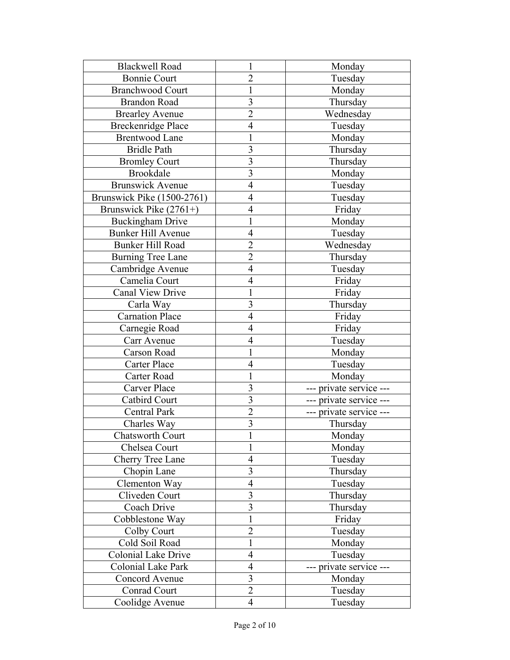| <b>Blackwell Road</b>      |                         | Monday                  |
|----------------------------|-------------------------|-------------------------|
| <b>Bonnie Court</b>        | $\overline{2}$          | Tuesday                 |
| <b>Branchwood Court</b>    | 1                       | Monday                  |
| <b>Brandon Road</b>        | $\overline{3}$          | Thursday                |
| <b>Brearley Avenue</b>     | $\overline{2}$          | Wednesday               |
| <b>Breckenridge Place</b>  | $\overline{4}$          | Tuesday                 |
| <b>Brentwood Lane</b>      | 1                       | Monday                  |
| <b>Bridle Path</b>         | $\overline{3}$          | Thursday                |
| <b>Bromley Court</b>       | $\overline{3}$          | Thursday                |
| <b>Brookdale</b>           | $\overline{3}$          | Monday                  |
| <b>Brunswick Avenue</b>    | $\overline{4}$          | Tuesday                 |
| Brunswick Pike (1500-2761) | $\overline{4}$          | Tuesday                 |
| Brunswick Pike $(2761+)$   | $\overline{4}$          | Friday                  |
| <b>Buckingham Drive</b>    | 1                       | Monday                  |
| <b>Bunker Hill Avenue</b>  | $\overline{4}$          | Tuesday                 |
| <b>Bunker Hill Road</b>    | $\overline{2}$          | Wednesday               |
| <b>Burning Tree Lane</b>   | $\overline{2}$          | Thursday                |
| Cambridge Avenue           | $\overline{4}$          | Tuesday                 |
| Camelia Court              | $\overline{4}$          | Friday                  |
| Canal View Drive           | 1                       | Friday                  |
| Carla Way                  | 3                       | Thursday                |
| <b>Carnation Place</b>     | $\overline{4}$          | Friday                  |
| Carnegie Road              | $\overline{4}$          | Friday                  |
| Carr Avenue                | $\overline{4}$          | Tuesday                 |
| Carson Road                | 1                       | Monday                  |
| Carter Place               | $\overline{4}$          | Tuesday                 |
| Carter Road                | 1                       | Monday                  |
| Carver Place               | 3                       | --- private service --- |
| <b>Catbird Court</b>       | $\overline{3}$          | --- private service --- |
| Central Park               | $\overline{2}$          | --- private service --- |
| Charles Way                | $\overline{\mathbf{3}}$ | Thursday                |
| Chatsworth Court           |                         | Monday                  |
| Chelsea Court              | 1                       | Monday                  |
| Cherry Tree Lane           | $\overline{4}$          | Tuesday                 |
| Chopin Lane                | 3                       | Thursday                |
| Clementon Way              | $\overline{4}$          | Tuesday                 |
| Cliveden Court             | $\mathfrak{Z}$          | Thursday                |
| Coach Drive                | $\overline{3}$          | Thursday                |
| Cobblestone Way            | $\mathbf{1}$            | Friday                  |
| Colby Court                | $\overline{2}$          | Tuesday                 |
| Cold Soil Road             | $\mathbf{1}$            | Monday                  |
| Colonial Lake Drive        | $\overline{4}$          | Tuesday                 |
| Colonial Lake Park         | $\overline{4}$          | --- private service --- |
| Concord Avenue             | $\overline{\mathbf{3}}$ | Monday                  |
| Conrad Court               | $\overline{2}$          | Tuesday                 |
| Coolidge Avenue            | $\overline{4}$          | Tuesday                 |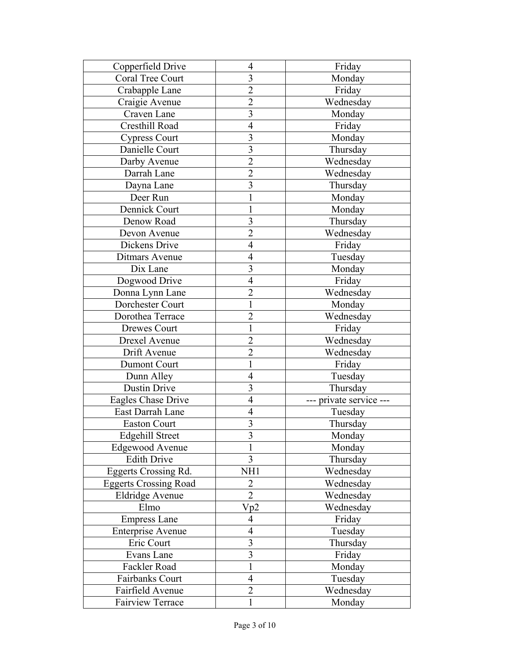| Copperfield Drive            | 4                       | Friday              |
|------------------------------|-------------------------|---------------------|
| <b>Coral Tree Court</b>      | $\overline{\mathbf{3}}$ | Monday              |
| Crabapple Lane               | $\overline{2}$          | Friday              |
| Craigie Avenue               | $\overline{2}$          | Wednesday           |
| Craven Lane                  | $\overline{\mathbf{3}}$ | Monday              |
| Cresthill Road               | $\overline{4}$          | Friday              |
| <b>Cypress Court</b>         | $\overline{3}$          | Monday              |
| Danielle Court               | 3                       | Thursday            |
| Darby Avenue                 | $\overline{2}$          | Wednesday           |
| Darrah Lane                  | $\overline{2}$          | Wednesday           |
| Dayna Lane                   | 3                       | Thursday            |
| Deer Run                     | 1                       | Monday              |
| Dennick Court                | 1                       | Monday              |
| Denow Road                   | 3                       | Thursday            |
| Devon Avenue                 | $\overline{2}$          | Wednesday           |
| Dickens Drive                | $\overline{4}$          | Friday              |
| Ditmars Avenue               | $\overline{4}$          | Tuesday             |
| Dix Lane                     | $\overline{3}$          | Monday              |
| Dogwood Drive                | $\overline{4}$          | Friday              |
| Donna Lynn Lane              | $\overline{2}$          | Wednesday           |
| Dorchester Court             | $\mathbf{1}$            | Monday              |
| Dorothea Terrace             | $\overline{2}$          | Wednesday           |
| Drewes Court                 | 1                       | Friday              |
| Drexel Avenue                | $\overline{c}$          | Wednesday           |
| Drift Avenue                 | $\overline{2}$          | Wednesday           |
| <b>Dumont Court</b>          | 1                       | Friday              |
| Dunn Alley                   | $\overline{4}$          | Tuesday             |
| <b>Dustin Drive</b>          | 3                       | Thursday            |
| Eagles Chase Drive           | $\overline{4}$          | private service --- |
| East Darrah Lane             | 4                       | Tuesday             |
| <b>Easton Court</b>          | $\overline{\mathbf{3}}$ | Thursday            |
| <b>Edgehill Street</b>       | $\rightarrow$<br>s      | Monday              |
| <b>Edgewood Avenue</b>       | $\mathbf{1}$            | Monday              |
| <b>Edith Drive</b>           | $\overline{3}$          | Thursday            |
| Eggerts Crossing Rd.         | NH1                     | Wednesday           |
| <b>Eggerts Crossing Road</b> | $\overline{2}$          | Wednesday           |
| <b>Eldridge Avenue</b>       | $\overline{2}$          | Wednesday           |
| Elmo                         | Vp2                     | Wednesday           |
| <b>Empress Lane</b>          | $\overline{4}$          | Friday              |
| <b>Enterprise Avenue</b>     | $\overline{4}$          | Tuesday             |
| Eric Court                   | 3                       | Thursday            |
| Evans Lane                   | 3                       | Friday              |
| Fackler Road                 | 1                       | Monday              |
| Fairbanks Court              | $\overline{4}$          | Tuesday             |
| Fairfield Avenue             | $\overline{2}$          | Wednesday           |
| <b>Fairview Terrace</b>      | 1                       | Monday              |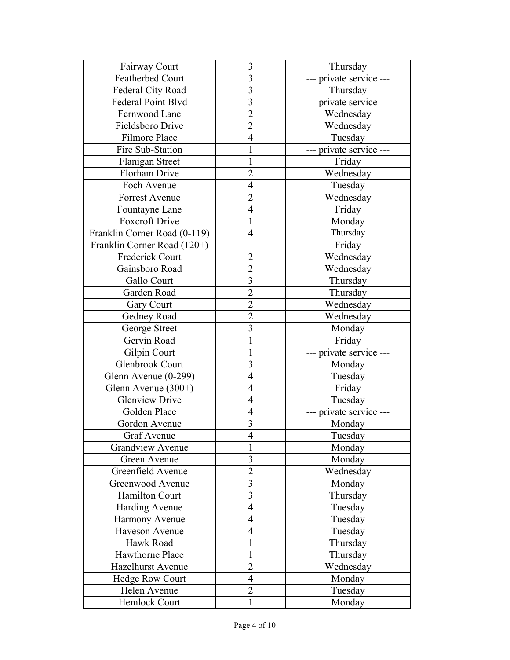| Fairway Court                | 3                        | Thursday                |
|------------------------------|--------------------------|-------------------------|
| Featherbed Court             | 3                        | --- private service --- |
| Federal City Road            | 3                        | Thursday                |
| <b>Federal Point Blvd</b>    | $\overline{\mathbf{3}}$  | --- private service --- |
| Fernwood Lane                | $\overline{2}$           | Wednesday               |
| Fieldsboro Drive             | $\overline{2}$           | Wednesday               |
| Filmore Place                | $\overline{4}$           | Tuesday                 |
| Fire Sub-Station             | 1                        | --- private service --- |
| Flanigan Street              | 1                        | Friday                  |
| Florham Drive                | $\overline{2}$           | Wednesday               |
| Foch Avenue                  | $\overline{4}$           | Tuesday                 |
| Forrest Avenue               | $\overline{2}$           | Wednesday               |
| Fountayne Lane               | 4                        | Friday                  |
| Foxcroft Drive               | $\mathbf{1}$             | Monday                  |
| Franklin Corner Road (0-119) | 4                        | Thursday                |
| Franklin Corner Road (120+)  |                          | Friday                  |
| Frederick Court              | $\overline{2}$           | Wednesday               |
| Gainsboro Road               | $\overline{2}$           | Wednesday               |
| Gallo Court                  | 3                        | Thursday                |
| Garden Road                  | $\overline{2}$           | Thursday                |
| Gary Court                   | $\overline{2}$           | Wednesday               |
| Gedney Road                  | $\overline{2}$           | Wednesday               |
| George Street                | 3                        | Monday                  |
| Gervin Road                  | $\mathbf 1$              | Friday                  |
| Gilpin Court                 | $\mathbf{1}$             | --- private service --- |
| Glenbrook Court              | $\overline{\mathbf{3}}$  | Monday                  |
| Glenn Avenue (0-299)         | $\overline{4}$           | Tuesday                 |
| Glenn Avenue $(300+)$        | $\overline{4}$           | Friday                  |
| <b>Glenview Drive</b>        | $\overline{4}$           | Tuesday                 |
| Golden Place                 | $\overline{4}$           | --- private service --- |
| Gordon Avenue                | 3                        | Monday                  |
| <b>Graf Avenue</b>           | $\overline{4}$           | Tuesday                 |
| <b>Grandview Avenue</b>      | 1                        | Monday                  |
| Green Avenue                 | $\overline{\mathbf{3}}$  | Monday                  |
| Greenfield Avenue            | $\overline{2}$           | Wednesday               |
| Greenwood Avenue             | 3                        | Monday                  |
| Hamilton Court               | $\overline{\mathbf{3}}$  | Thursday                |
| <b>Harding Avenue</b>        | $\overline{4}$           | Tuesday                 |
| Harmony Avenue               | $\overline{4}$           | Tuesday                 |
| Haveson Avenue               | $\overline{4}$           | Tuesday                 |
| Hawk Road                    | $\mathbf 1$              | Thursday                |
| Hawthorne Place              | $\mathbf 1$              | Thursday                |
| <b>Hazelhurst Avenue</b>     | $\overline{2}$           | Wednesday               |
| <b>Hedge Row Court</b>       | $\overline{\mathcal{A}}$ | Monday                  |
| Helen Avenue                 | $\overline{2}$           | Tuesday                 |
| Hemlock Court                | 1                        | Monday                  |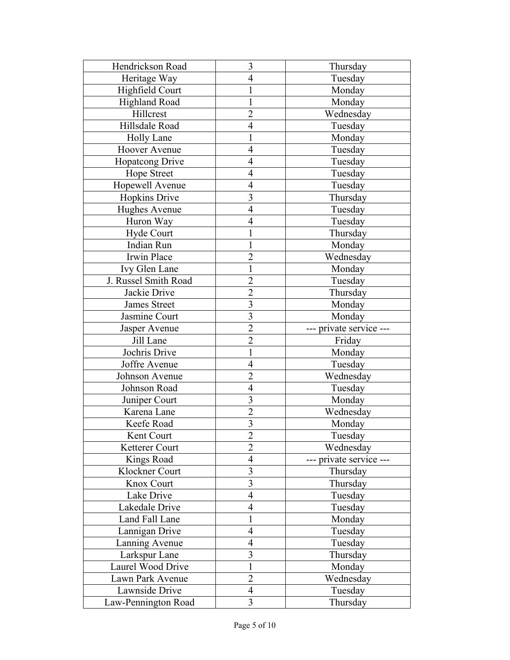| Hendrickson Road     | 3                       | Thursday                |
|----------------------|-------------------------|-------------------------|
| Heritage Way         | $\overline{4}$          | Tuesday                 |
| Highfield Court      | 1                       | Monday                  |
| <b>Highland Road</b> | 1                       | Monday                  |
| Hillcrest            | $\overline{2}$          | Wednesday               |
| Hillsdale Road       | $\overline{4}$          | Tuesday                 |
| <b>Holly Lane</b>    | 1                       | Monday                  |
| <b>Hoover Avenue</b> | $\overline{4}$          | Tuesday                 |
| Hopatcong Drive      | 4                       | Tuesday                 |
| <b>Hope Street</b>   | $\overline{4}$          | Tuesday                 |
| Hopewell Avenue      | 4                       | Tuesday                 |
| <b>Hopkins Drive</b> | 3                       | Thursday                |
| Hughes Avenue        | $\overline{4}$          | Tuesday                 |
| Huron Way            | $\overline{4}$          | Tuesday                 |
| Hyde Court           | 1                       | Thursday                |
| <b>Indian Run</b>    | $\mathbf 1$             | Monday                  |
| Irwin Place          | $\overline{2}$          | Wednesday               |
| Ivy Glen Lane        | 1                       | Monday                  |
| J. Russel Smith Road | $\overline{2}$          | Tuesday                 |
| Jackie Drive         | $\overline{2}$          | Thursday                |
| <b>James Street</b>  | $\overline{3}$          | Monday                  |
| Jasmine Court        | $\overline{3}$          | Monday                  |
| Jasper Avenue        | $\overline{2}$          | --- private service --- |
| Jill Lane            | $\overline{c}$          | Friday                  |
| Jochris Drive        | 1                       | Monday                  |
| Joffre Avenue        | $\overline{4}$          | Tuesday                 |
| Johnson Avenue       | $\overline{2}$          | Wednesday               |
| Johnson Road         | $\overline{4}$          | Tuesday                 |
| Juniper Court        | 3                       | Monday                  |
| Karena Lane          | $\overline{2}$          | Wednesday               |
| Keefe Road           | $\overline{\mathbf{3}}$ | Monday                  |
| Kent Court           | $\overline{2}$          | Tuesday                 |
| Ketterer Court       | $\overline{2}$          | Wednesday               |
| Kings Road           | $\overline{4}$          | private service ---     |
| Klockner Court       | $\overline{\mathbf{3}}$ | Thursday                |
| Knox Court           | $\overline{3}$          | Thursday                |
| Lake Drive           | $\overline{4}$          | Tuesday                 |
| Lakedale Drive       | $\overline{4}$          | Tuesday                 |
| Land Fall Lane       | $\mathbf 1$             | Monday                  |
| Lannigan Drive       | $\overline{4}$          | Tuesday                 |
| Lanning Avenue       | $\overline{4}$          | Tuesday                 |
| Larkspur Lane        | $\overline{\mathbf{3}}$ | Thursday                |
| Laurel Wood Drive    | 1                       | Monday                  |
| Lawn Park Avenue     | $\overline{2}$          | Wednesday               |
| Lawnside Drive       | $\overline{4}$          | Tuesday                 |
| Law-Pennington Road  | 3                       | Thursday                |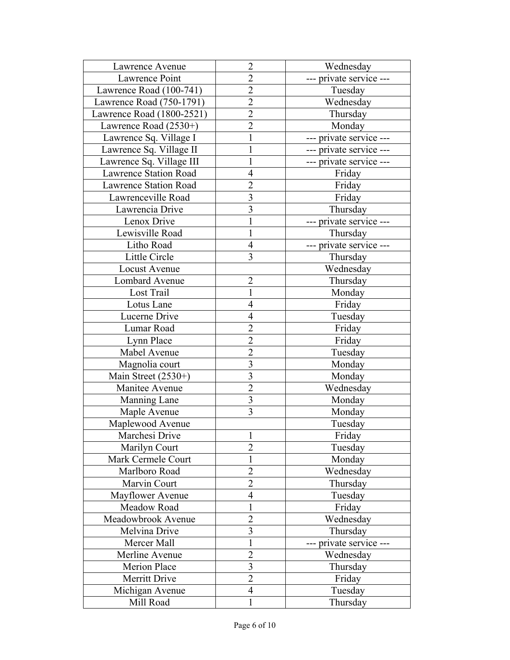| Lawrence Avenue              | $\overline{2}$          | Wednesday               |
|------------------------------|-------------------------|-------------------------|
| Lawrence Point               | $\overline{2}$          | --- private service --- |
| Lawrence Road (100-741)      | $\overline{2}$          | Tuesday                 |
| Lawrence Road (750-1791)     | $\overline{2}$          | Wednesday               |
| Lawrence Road (1800-2521)    | $\overline{2}$          | Thursday                |
| Lawrence Road $(2530+)$      | $\overline{2}$          | Monday                  |
| Lawrence Sq. Village I       | $\mathbf{1}$            | --- private service --- |
| Lawrence Sq. Village II      | $\mathbf{1}$            | --- private service --- |
| Lawrence Sq. Village III     | 1                       | --- private service --- |
| <b>Lawrence Station Road</b> | $\overline{4}$          | Friday                  |
| <b>Lawrence Station Road</b> | $\overline{c}$          | Friday                  |
| Lawrenceville Road           | $\overline{3}$          | Friday                  |
| Lawrencia Drive              | 3                       | Thursday                |
| Lenox Drive                  | 1                       | --- private service --- |
| Lewisville Road              | 1                       | Thursday                |
| Litho Road                   | $\overline{4}$          | --- private service --- |
| Little Circle                | $\overline{3}$          | Thursday                |
| Locust Avenue                |                         | Wednesday               |
| Lombard Avenue               | $\overline{2}$          | Thursday                |
| Lost Trail                   | 1                       | Monday                  |
| Lotus Lane                   | $\overline{4}$          | Friday                  |
| Lucerne Drive                | 4                       | Tuesday                 |
| Lumar Road                   | $\overline{2}$          | Friday                  |
| Lynn Place                   | $\overline{c}$          | Friday                  |
| Mabel Avenue                 | $\overline{2}$          | Tuesday                 |
| Magnolia court               | $\overline{\mathbf{3}}$ | Monday                  |
| Main Street (2530+)          | $\overline{3}$          | Monday                  |
| Manitee Avenue               | $\overline{2}$          | Wednesday               |
| Manning Lane                 | $\overline{\mathbf{3}}$ | Monday                  |
| Maple Avenue                 | $\overline{3}$          | Monday                  |
| Maplewood Avenue             |                         | Tuesday                 |
| Marchesi Drive               | 1.<br>1                 | Friday                  |
| Marilyn Court                | $\overline{2}$          | Tuesday                 |
| Mark Cermele Court           | $\mathbf 1$             | Monday                  |
| Marlboro Road                | $\overline{2}$          | Wednesday               |
| Marvin Court                 | $\overline{2}$          | Thursday                |
| Mayflower Avenue             | $\overline{4}$          | Tuesday                 |
| Meadow Road                  | 1                       | Friday                  |
| Meadowbrook Avenue           | $\overline{2}$          | Wednesday               |
| Melvina Drive                | 3                       | Thursday                |
| Mercer Mall                  | 1                       | --- private service --- |
| Merline Avenue               | $\overline{2}$          | Wednesday               |
| Merion Place                 | $\overline{\mathbf{3}}$ | Thursday                |
| Merritt Drive                | $\overline{2}$          | Friday                  |
|                              | $\overline{4}$          |                         |
| Michigan Avenue              |                         | Tuesday                 |
| Mill Road                    | 1                       | Thursday                |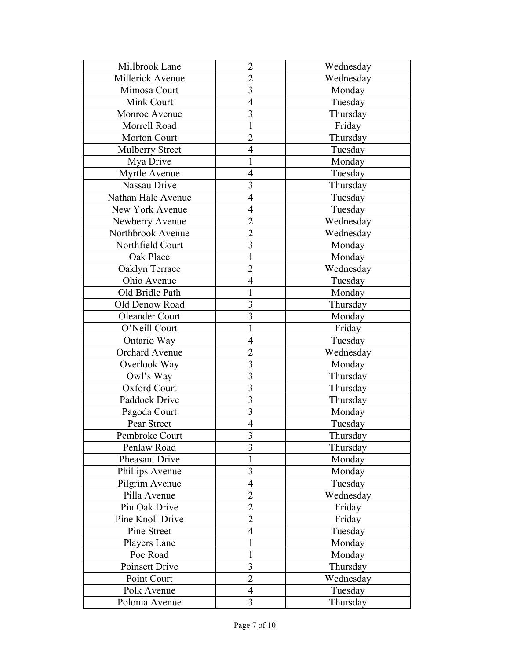| Millbrook Lane         | $\overline{2}$          | Wednesday |
|------------------------|-------------------------|-----------|
| Millerick Avenue       | $\overline{2}$          | Wednesday |
| Mimosa Court           | $\overline{3}$          | Monday    |
| Mink Court             | $\overline{4}$          | Tuesday   |
| Monroe Avenue          | $\overline{3}$          | Thursday  |
| Morrell Road           | $\mathbf{1}$            | Friday    |
| Morton Court           | $\overline{2}$          | Thursday  |
| <b>Mulberry Street</b> | $\overline{4}$          | Tuesday   |
| Mya Drive              | 1                       | Monday    |
| Myrtle Avenue          | $\overline{4}$          | Tuesday   |
| Nassau Drive           | 3                       | Thursday  |
| Nathan Hale Avenue     | $\overline{4}$          | Tuesday   |
| New York Avenue        | 4                       | Tuesday   |
| Newberry Avenue        | $\overline{2}$          | Wednesday |
| Northbrook Avenue      | $\overline{c}$          | Wednesday |
| Northfield Court       | $\overline{3}$          | Monday    |
| Oak Place              | $\mathbf{1}$            | Monday    |
| Oaklyn Terrace         | $\overline{2}$          | Wednesday |
| Ohio Avenue            | $\overline{4}$          | Tuesday   |
| Old Bridle Path        | 1                       | Monday    |
| Old Denow Road         | $\overline{\mathbf{3}}$ | Thursday  |
| Oleander Court         | $\overline{\mathbf{3}}$ | Monday    |
| O'Neill Court          | $\mathbf{1}$            | Friday    |
| Ontario Way            | $\overline{4}$          | Tuesday   |
| Orchard Avenue         | $\overline{2}$          | Wednesday |
| Overlook Way           | 3                       | Monday    |
| Owl's Way              | 3                       | Thursday  |
| Oxford Court           | $\overline{3}$          | Thursday  |
| Paddock Drive          | 3                       | Thursday  |
| Pagoda Court           | $\overline{\mathbf{3}}$ | Monday    |
| Pear Street            | $\overline{4}$          | Tuesday   |
| Pembroke Court         |                         | Thursday  |
| Penlaw Road            | $\frac{3}{3}$           | Thursday  |
| Pheasant Drive         | $\mathbf{1}$            | Monday    |
| Phillips Avenue        | $\overline{\mathbf{3}}$ | Monday    |
| Pilgrim Avenue         | $\overline{4}$          | Tuesday   |
| Pilla Avenue           | $\overline{2}$          | Wednesday |
| Pin Oak Drive          | $\overline{2}$          | Friday    |
| Pine Knoll Drive       | $\overline{2}$          | Friday    |
| Pine Street            | $\overline{4}$          | Tuesday   |
| Players Lane           | 1                       | Monday    |
| Poe Road               | $\mathbf{1}$            | Monday    |
| Poinsett Drive         | $\overline{\mathbf{3}}$ | Thursday  |
| Point Court            | $\overline{2}$          | Wednesday |
| Polk Avenue            | $\overline{4}$          | Tuesday   |
| Polonia Avenue         | 3                       | Thursday  |
|                        |                         |           |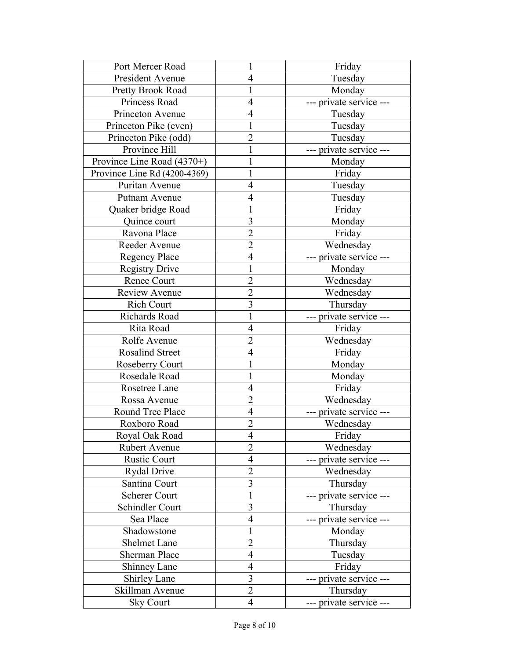| Port Mercer Road             | 1                       | Friday                  |
|------------------------------|-------------------------|-------------------------|
| President Avenue             | $\overline{4}$          | Tuesday                 |
| Pretty Brook Road            | 1                       | Monday                  |
| Princess Road                | $\overline{4}$          | --- private service --- |
| Princeton Avenue             | 4                       | Tuesday                 |
| Princeton Pike (even)        | 1                       | Tuesday                 |
| Princeton Pike (odd)         | $\overline{2}$          | Tuesday                 |
| Province Hill                |                         | --- private service --- |
| Province Line Road (4370+)   |                         | Monday                  |
| Province Line Rd (4200-4369) | 1                       | Friday                  |
| Puritan Avenue               | $\overline{4}$          | Tuesday                 |
| Putnam Avenue                | 4                       | Tuesday                 |
| Quaker bridge Road           | 1                       | Friday                  |
| Quince court                 | 3                       | Monday                  |
| Ravona Place                 | $\overline{2}$          | Friday                  |
| Reeder Avenue                | $\overline{2}$          | Wednesday               |
| <b>Regency Place</b>         | $\overline{4}$          | --- private service --- |
| <b>Registry Drive</b>        | 1                       | Monday                  |
| Renee Court                  | $\overline{2}$          | Wednesday               |
| Review Avenue                | $\overline{2}$          | Wednesday               |
| <b>Rich Court</b>            | $\overline{3}$          | Thursday                |
| Richards Road                | 1                       | --- private service --- |
| Rita Road                    | $\overline{4}$          | Friday                  |
| Rolfe Avenue                 | $\overline{2}$          | Wednesday               |
| <b>Rosalind Street</b>       | $\overline{4}$          | Friday                  |
| <b>Roseberry Court</b>       | 1                       | Monday                  |
| Rosedale Road                | 1                       | Monday                  |
| Rosetree Lane                | 4                       | Friday                  |
| Rossa Avenue                 | $\overline{2}$          | Wednesday               |
| Round Tree Place             | $\overline{4}$          | --- private service --- |
| Roxboro Road                 | $\overline{2}$          | Wednesday               |
| Royal Oak Road               | $\overline{4}$          | Friday                  |
| <b>Rubert Avenue</b>         | $\overline{2}$          | Wednesday               |
| <b>Rustic Court</b>          | $\overline{4}$          | --- private service --- |
| <b>Rydal Drive</b>           | $\overline{2}$          | Wednesday               |
| Santina Court                | $\overline{\mathbf{3}}$ | Thursday                |
| <b>Scherer Court</b>         | $\mathbf{1}$            | --- private service --- |
| Schindler Court              | $\overline{\mathbf{3}}$ | Thursday                |
| Sea Place                    | $\overline{4}$          | --- private service --- |
| Shadowstone                  | $\mathbf 1$             | Monday                  |
| Shelmet Lane                 | $\overline{2}$          | Thursday                |
| <b>Sherman Place</b>         | $\overline{4}$          | Tuesday                 |
| Shinney Lane                 | $\overline{4}$          | Friday                  |
| <b>Shirley Lane</b>          | $\overline{\mathbf{3}}$ | --- private service --- |
| Skillman Avenue              | $\overline{2}$          | Thursday                |
| <b>Sky Court</b>             | 4                       | --- private service --- |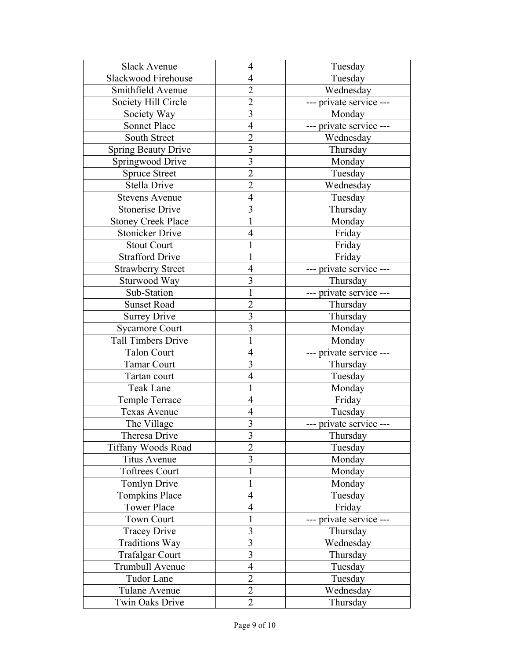| <b>Slack Avenue</b>        | $\overline{4}$          | Tuesday                 |
|----------------------------|-------------------------|-------------------------|
| Slackwood Firehouse        | 4                       | Tuesday                 |
| Smithfield Avenue          | $\overline{2}$          | Wednesday               |
| Society Hill Circle        | $\overline{2}$          | --- private service --- |
| Society Way                | $\overline{3}$          | Monday                  |
| Sonnet Place               | $\overline{4}$          | --- private service --- |
| South Street               | $\overline{2}$          | Wednesday               |
| <b>Spring Beauty Drive</b> | 3                       | Thursday                |
| Springwood Drive           | $\overline{\mathbf{3}}$ | Monday                  |
| <b>Spruce Street</b>       | $\overline{2}$          | Tuesday                 |
| Stella Drive               | $\overline{c}$          | Wednesday               |
| <b>Stevens Avenue</b>      | $\overline{4}$          | Tuesday                 |
| <b>Stonerise Drive</b>     | 3                       | Thursday                |
| <b>Stoney Creek Place</b>  | $\mathbf{1}$            | Monday                  |
| <b>Stonicker Drive</b>     | $\overline{4}$          | Friday                  |
| <b>Stout Court</b>         | 1                       | Friday                  |
| <b>Strafford Drive</b>     | 1                       | Friday                  |
| <b>Strawberry Street</b>   | $\overline{4}$          | --- private service --- |
| Sturwood Way               | 3                       | Thursday                |
| Sub-Station                | $\mathbf{1}$            | --- private service --- |
| <b>Sunset Road</b>         | $\overline{2}$          | Thursday                |
| <b>Surrey Drive</b>        | 3                       | Thursday                |
| <b>Sycamore Court</b>      | $\overline{3}$          | Monday                  |
| <b>Tall Timbers Drive</b>  | $\mathbf{1}$            | Monday                  |
| <b>Talon Court</b>         | $\overline{4}$          | --- private service --- |
| <b>Tamar Court</b>         | 3                       | Thursday                |
| Tartan court               | $\overline{4}$          | Tuesday                 |
| Teak Lane                  | 1                       | Monday                  |
| Temple Terrace             | $\overline{4}$          | Friday                  |
| Texas Avenue               | 4                       | Tuesday                 |
| The Village                | 3                       | private service ---     |
| Theresa Drive              | $\mathfrak{z}$          | Thursday                |
| <b>Tiffany Woods Road</b>  | $\overline{2}$          | Tuesday                 |
| <b>Titus Avenue</b>        | $\overline{3}$          | Monday                  |
| <b>Toftrees Court</b>      | $\mathbf 1$             | Monday                  |
| <b>Tomlyn Drive</b>        | $\mathbf{1}$            | Monday                  |
| <b>Tompkins Place</b>      | $\overline{4}$          | Tuesday                 |
| <b>Tower Place</b>         | $\overline{4}$          | Friday                  |
| <b>Town Court</b>          | $\mathbf{1}$            | private service ---     |
| <b>Tracey Drive</b>        | $\overline{\mathbf{3}}$ | Thursday                |
| Traditions Way             | 3                       | Wednesday               |
| <b>Trafalgar Court</b>     | 3                       | Thursday                |
| Trumbull Avenue            | $\overline{4}$          | Tuesday                 |
| <b>Tudor Lane</b>          | $\overline{2}$          | Tuesday                 |
| Tulane Avenue              | $\overline{2}$          | Wednesday               |
| Twin Oaks Drive            | $\overline{2}$          | Thursday                |